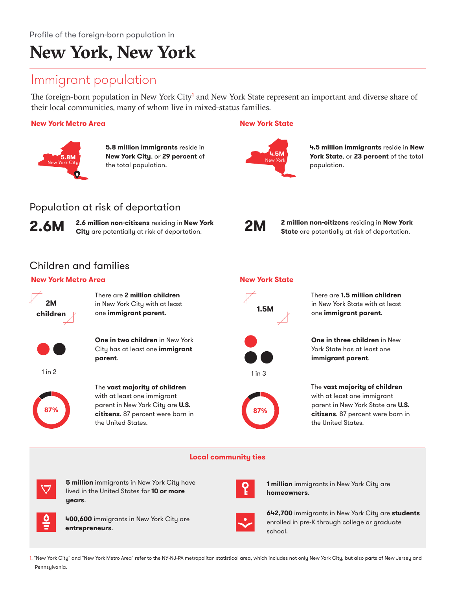# **New York, New York**

### Immigrant population

Population at risk of deportation

The foreign-born population in New York City<sup>1</sup> and New York State represent an important and diverse share of their local communities, many of whom live in mixed-status families.

#### **New York Metro Area**



**5.8 million immigrants** reside in **1.5W New York City, or 29 percent** of **1.5WI Rew York New York** the total population.

#### **New York State**



**4.5 million immigrants** reside in **New York State**, or **23 percent** of the total population.



**2 million non-citizens** residing in **New York State** are potentially at risk of deportation.

### Children and families

#### **New York Metro Area**





**1 million** immigrants in New York City are **homeowners**.

**642,700** immigrants in New York City are **students** enrolled in pre-K through college or graduate school.

1. "New York City" and "New York Metro Area" refer to the NY-NJ-PA metropolitan statistical area, which includes not only New York City, but also parts of New Jersey and Pennsylvania.

#### **New York State**

1 in 3

**87%**

There are **1.5 million children**  in New York State with at least one **immigrant parent**.

**One in three children** in New York State has at least one **immigrant parent**.

The **vast majority of children**  with at least one immigrant parent in New York State are **U.S. citizens**. 87 percent were born in the United States.

**Local community ties**



**400,600** immigrants in New York City are **entrepreneurs**.